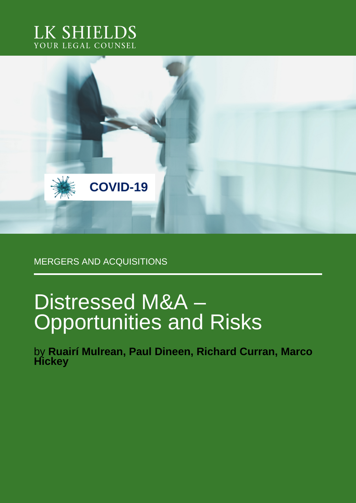



MERGERS AND ACQUISITIONS

# Distressed M&A – Opportunities and Risks

by **Ruairí Mulrean, Paul Dineen, Richard Curran, Marco Hickey**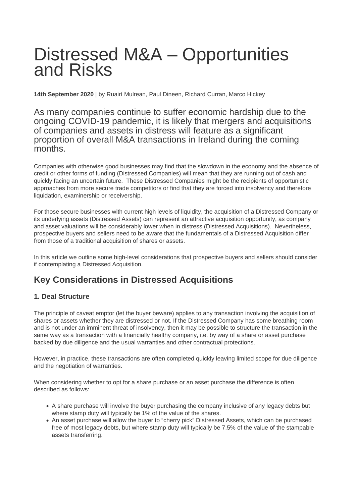## Distressed M&A – Opportunities and Risks

**14th September 2020** | by Ruairí Mulrean, Paul Dineen, Richard Curran, Marco Hickey

As many companies continue to suffer economic hardship due to the ongoing COVID-19 pandemic, it is likely that mergers and acquisitions of companies and assets in distress will feature as a significant proportion of overall M&A transactions in Ireland during the coming months.

Companies with otherwise good businesses may find that the slowdown in the economy and the absence of credit or other forms of funding (Distressed Companies) will mean that they are running out of cash and quickly facing an uncertain future. These Distressed Companies might be the recipients of opportunistic approaches from more secure trade competitors or find that they are forced into insolvency and therefore liquidation, examinership or receivership.

For those secure businesses with current high levels of liquidity, the acquisition of a Distressed Company or its underlying assets (Distressed Assets) can represent an attractive acquisition opportunity, as company and asset valuations will be considerably lower when in distress (Distressed Acquisitions). Nevertheless, prospective buyers and sellers need to be aware that the fundamentals of a Distressed Acquisition differ from those of a traditional acquisition of shares or assets.

In this article we outline some high-level considerations that prospective buyers and sellers should consider if contemplating a Distressed Acquisition.

## **Key Considerations in Distressed Acquisitions**

#### **1. Deal Structure**

The principle of caveat emptor (let the buyer beware) applies to any transaction involving the acquisition of shares or assets whether they are distressed or not. If the Distressed Company has some breathing room and is not under an imminent threat of insolvency, then it may be possible to structure the transaction in the same way as a transaction with a financially healthy company, i.e. by way of a share or asset purchase backed by due diligence and the usual warranties and other contractual protections.

However, in practice, these transactions are often completed quickly leaving limited scope for due diligence and the negotiation of warranties.

When considering whether to opt for a share purchase or an asset purchase the difference is often described as follows:

- A share purchase will involve the buyer purchasing the company inclusive of any legacy debts but where stamp duty will typically be 1% of the value of the shares.
- An asset purchase will allow the buyer to "cherry pick" Distressed Assets, which can be purchased free of most legacy debts, but where stamp duty will typically be 7.5% of the value of the stampable assets transferring.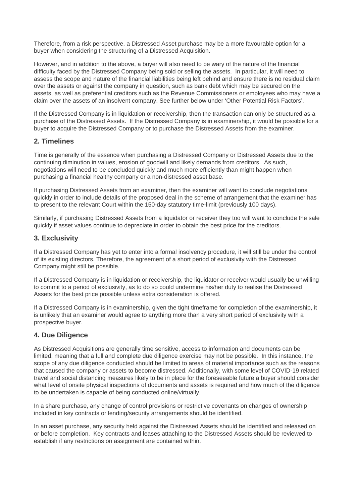Therefore, from a risk perspective, a Distressed Asset purchase may be a more favourable option for a buyer when considering the structuring of a Distressed Acquisition.

However, and in addition to the above, a buyer will also need to be wary of the nature of the financial difficulty faced by the Distressed Company being sold or selling the assets. In particular, it will need to assess the scope and nature of the financial liabilities being left behind and ensure there is no residual claim over the assets or against the company in question, such as bank debt which may be secured on the assets, as well as preferential creditors such as the Revenue Commissioners or employees who may have a claim over the assets of an insolvent company. See further below under 'Other Potential Risk Factors'.

If the Distressed Company is in liquidation or receivership, then the transaction can only be structured as a purchase of the Distressed Assets. If the Distressed Company is in examinership, it would be possible for a buyer to acquire the Distressed Company or to purchase the Distressed Assets from the examiner.

#### **2. Timelines**

Time is generally of the essence when purchasing a Distressed Company or Distressed Assets due to the continuing diminution in values, erosion of goodwill and likely demands from creditors. As such, negotiations will need to be concluded quickly and much more efficiently than might happen when purchasing a financial healthy company or a non-distressed asset base.

If purchasing Distressed Assets from an examiner, then the examiner will want to conclude negotiations quickly in order to include details of the proposed deal in the scheme of arrangement that the examiner has to present to the relevant Court within the 150-day statutory time-limit (previously 100 days).

Similarly, if purchasing Distressed Assets from a liquidator or receiver they too will want to conclude the sale quickly if asset values continue to depreciate in order to obtain the best price for the creditors.

#### **3. Exclusivity**

If a Distressed Company has yet to enter into a formal insolvency procedure, it will still be under the control of its existing directors. Therefore, the agreement of a short period of exclusivity with the Distressed Company might still be possible.

If a Distressed Company is in liquidation or receivership, the liquidator or receiver would usually be unwilling to commit to a period of exclusivity, as to do so could undermine his/her duty to realise the Distressed Assets for the best price possible unless extra consideration is offered.

If a Distressed Company is in examinership, given the tight timeframe for completion of the examinership, it is unlikely that an examiner would agree to anything more than a very short period of exclusivity with a prospective buyer.

#### **4. Due Diligence**

As Distressed Acquisitions are generally time sensitive, access to information and documents can be limited, meaning that a full and complete due diligence exercise may not be possible. In this instance, the scope of any due diligence conducted should be limited to areas of material importance such as the reasons that caused the company or assets to become distressed. Additionally, with some level of COVID-19 related travel and social distancing measures likely to be in place for the foreseeable future a buyer should consider what level of onsite physical inspections of documents and assets is required and how much of the diligence to be undertaken is capable of being conducted online/virtually.

In a share purchase, any change of control provisions or restrictive covenants on changes of ownership included in key contracts or lending/security arrangements should be identified.

In an asset purchase, any security held against the Distressed Assets should be identified and released on or before completion. Key contracts and leases attaching to the Distressed Assets should be reviewed to establish if any restrictions on assignment are contained within.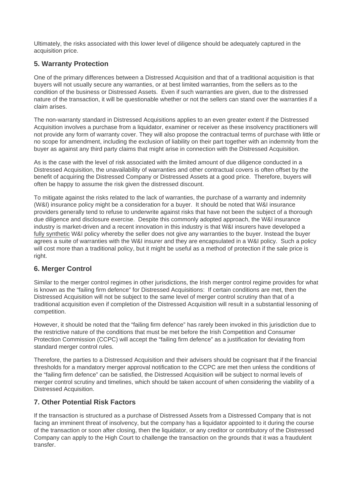Ultimately, the risks associated with this lower level of diligence should be adequately captured in the acquisition price.

#### **5. Warranty Protection**

One of the primary differences between a Distressed Acquisition and that of a traditional acquisition is that buyers will not usually secure any warranties, or at best limited warranties, from the sellers as to the condition of the business or Distressed Assets. Even if such warranties are given, due to the distressed nature of the transaction, it will be questionable whether or not the sellers can stand over the warranties if a claim arises.

The non-warranty standard in Distressed Acquisitions applies to an even greater extent if the Distressed Acquisition involves a purchase from a liquidator, examiner or receiver as these insolvency practitioners will not provide any form of warranty cover. They will also propose the contractual terms of purchase with little or no scope for amendment, including the exclusion of liability on their part together with an indemnity from the buyer as against any third party claims that might arise in connection with the Distressed Acquisition.

As is the case with the level of risk associated with the limited amount of due diligence conducted in a Distressed Acquisition, the unavailability of warranties and other contractual covers is often offset by the benefit of acquiring the Distressed Company or Distressed Assets at a good price. Therefore, buyers will often be happy to assume the risk given the distressed discount.

To mitigate against the risks related to the lack of warranties, the purchase of a warranty and indemnity (W&I) insurance policy might be a consideration for a buyer. It should be noted that W&I insurance providers generally tend to refuse to underwrite against risks that have not been the subject of a thorough due diligence and disclosure exercise. Despite this commonly adopted approach, the W&I insurance industry is market-driven and a recent innovation in this industry is that W&I insurers have developed a fully synthetic W&I policy whereby the seller does not give any warranties to the buyer. Instead the buyer agrees a suite of warranties with the W&I insurer and they are encapsulated in a W&I policy. Such a policy will cost more than a traditional policy, but it might be useful as a method of protection if the sale price is right.

#### **6. Merger Control**

Similar to the merger control regimes in other jurisdictions, the Irish merger control regime provides for what is known as the "failing firm defence" for Distressed Acquisitions: If certain conditions are met, then the Distressed Acquisition will not be subject to the same level of merger control scrutiny than that of a traditional acquisition even if completion of the Distressed Acquisition will result in a substantial lessoning of competition.

However, it should be noted that the "failing firm defence" has rarely been invoked in this jurisdiction due to the restrictive nature of the conditions that must be met before the Irish Competition and Consumer Protection Commission (CCPC) will accept the "failing firm defence" as a justification for deviating from standard merger control rules.

Therefore, the parties to a Distressed Acquisition and their advisers should be cognisant that if the financial thresholds for a mandatory merger approval notification to the CCPC are met then unless the conditions of the "failing firm defence" can be satisfied, the Distressed Acquisition will be subject to normal levels of merger control scrutiny and timelines, which should be taken account of when considering the viability of a Distressed Acquisition.

#### **7. Other Potential Risk Factors**

If the transaction is structured as a purchase of Distressed Assets from a Distressed Company that is not facing an imminent threat of insolvency, but the company has a liquidator appointed to it during the course of the transaction or soon after closing, then the liquidator, or any creditor or contributory of the Distressed Company can apply to the High Court to challenge the transaction on the grounds that it was a fraudulent transfer.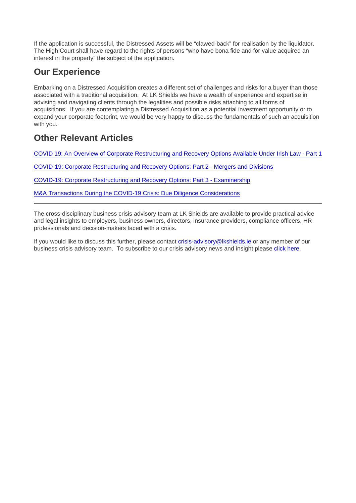If the application is successful, the Distressed Assets will be "clawed-back" for realisation by the liquidator. The High Court shall have regard to the rights of persons "who have bona fide and for value acquired an interest in the property" the subject of the application.

## Our Experience

Embarking on a Distressed Acquisition creates a different set of challenges and risks for a buyer than those associated with a traditional acquisition. At LK Shields we have a wealth of experience and expertise in advising and navigating clients through the legalities and possible risks attaching to all forms of acquisitions. If you are contemplating a Distressed Acquisition as a potential investment opportunity or to expand your corporate footprint, we would be very happy to discuss the fundamentals of such an acquisition with you.

## Other Relevant Articles

[COVID 19: An Overview of Corporate Restructuring and Recovery Options Available Under Irish Law - Part 1](https://www.lkshields.ie/news-insights/publication/overview-of-corporate-restructuring-and-recovery-options-available-under-irish-law-part-1)

[COVID-19: Corporate Restructuring and Recovery Options: Part 2 - Mergers and Divisions](https://www.lkshields.ie/news-insights/publication/corporate-restructuring-and-recovery-options-available-part-2-mergers-and-divisions)

[COVID-19: Corporate Restructuring and Recovery Options: Part 3 - Examinership](https://www.lkshields.ie/news-insights/publication/corporate-restructuring-and-recovery-options-part-3-examinership)

[M&A Transactions During the COVID-19 Crisis: Due Diligence Considerations](https://www.lkshields.ie/news-insights/publication/ma-transactions-during-the-covid-19-crisis-diligence-considerations)

The cross-disciplinary business crisis advisory team at LK Shields are available to provide practical advice and legal insights to employers, business owners, directors, insurance providers, compliance officers, HR professionals and decision-makers faced with a crisis.

If you would like to discuss this further, please contact [crisis-advisory@lkshields.ie](mailto:crisis-advisory@lkshields.ie) or any member of our business crisis advisory team. To subscribe to our crisis advisory news and insight please [click here.](https://reaction2.lkshields.ie/REACTION/Home/RSForm?RSID=mwU4VwhhHrHHZbsTaBKLMmGOunHzJsSMhjcJEOSWRg14saHLX8MkZJc-q7iJxNB0)